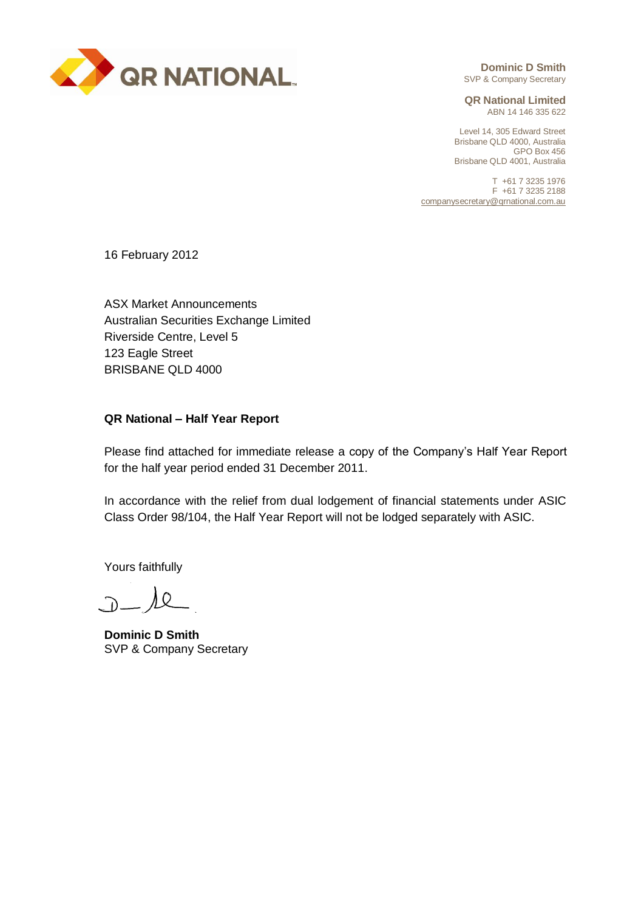

**Dominic D Smith** SVP & Company Secretary

**QR National Limited** ABN 14 146 335 622

Level 14, 305 Edward Street Brisbane QLD 4000, Australia GPO Box 456 Brisbane QLD 4001, Australia

T +61 7 3235 1976 F +61 7 3235 2188 companysecretary@qrnational.com.au

16 February 2012

ASX Market Announcements Australian Securities Exchange Limited Riverside Centre, Level 5 123 Eagle Street BRISBANE QLD 4000

## **QR National – Half Year Report**

Please find attached for immediate release a copy of the Company's Half Year Report for the half year period ended 31 December 2011.

In accordance with the relief from dual lodgement of financial statements under ASIC Class Order 98/104, the Half Year Report will not be lodged separately with ASIC.

Yours faithfully

 $D - \lambda$ 

**Dominic D Smith** SVP & Company Secretary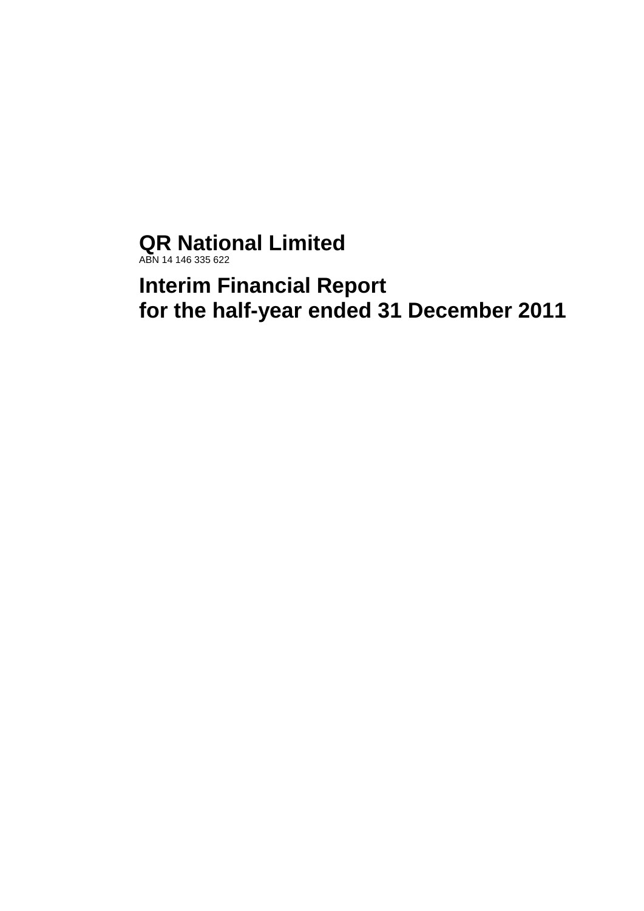# **QR National Limited**

ABN 14 146 335 622

**Interim Financial Report for the half-year ended 31 December 2011**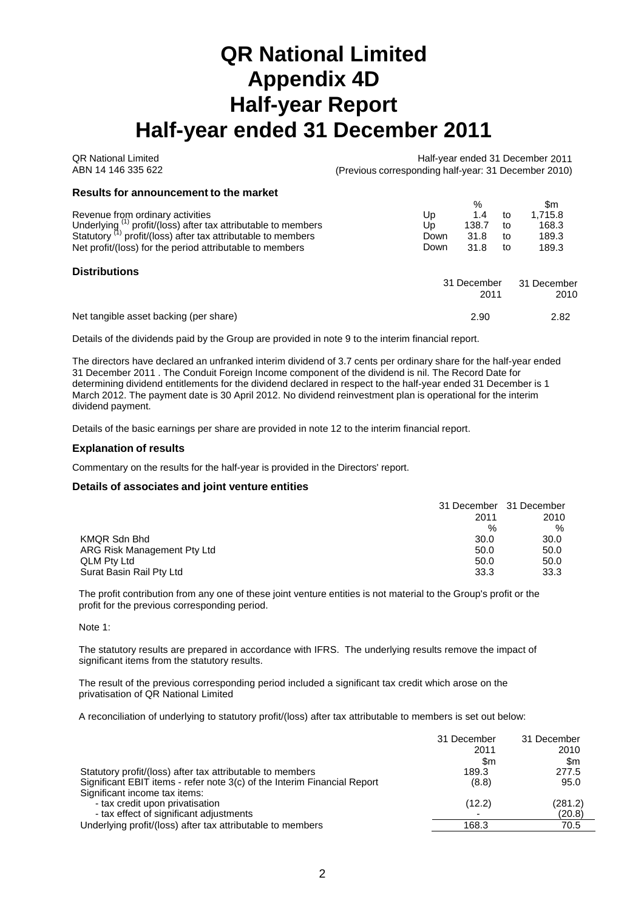# **QR National Limited Appendix 4D Half-year Report Half-year ended 31 December 2011**

| <b>OR National Limited</b><br>ABN 14 146 335 622                                                                                                                                                                                           | Half-year ended 31 December 2011<br>(Previous corresponding half-year: 31 December 2010) |                                   |                      |                                           |
|--------------------------------------------------------------------------------------------------------------------------------------------------------------------------------------------------------------------------------------------|------------------------------------------------------------------------------------------|-----------------------------------|----------------------|-------------------------------------------|
| Results for announcement to the market                                                                                                                                                                                                     |                                                                                          |                                   |                      |                                           |
| Revenue from ordinary activities<br>Underlying (1) profit/(loss) after tax attributable to members<br>Statutory <sup>(1)</sup> profit/(loss) after tax attributable to members<br>Net profit/(loss) for the period attributable to members | Up<br>Up<br>Down<br>Down                                                                 | %<br>1.4<br>138.7<br>31.8<br>31.8 | to<br>to<br>to<br>to | \$m<br>1.715.8<br>168.3<br>189.3<br>189.3 |
| <b>Distributions</b>                                                                                                                                                                                                                       |                                                                                          | 31 December<br>2011               |                      | 31 December<br>2010                       |
| Net tangible asset backing (per share)                                                                                                                                                                                                     |                                                                                          | 2.90                              |                      | 2.82                                      |

Details of the dividends paid by the Group are provided in note 9 to the interim financial report.

The directors have declared an unfranked interim dividend of 3.7 cents per ordinary share for the half-year ended 31 December 2011 . The Conduit Foreign Income component of the dividend is nil. The Record Date for determining dividend entitlements for the dividend declared in respect to the half-year ended 31 December is 1 March 2012. The payment date is 30 April 2012. No dividend reinvestment plan is operational for the interim dividend payment.

Details of the basic earnings per share are provided in note 12 to the interim financial report.

#### **Explanation of results**

Commentary on the results for the half-year is provided in the Directors' report.

#### **Details of associates and joint venture entities**

|                             | 31 December 31 December |      |
|-----------------------------|-------------------------|------|
|                             | 2011                    | 2010 |
|                             | %                       | $\%$ |
| KMQR Sdn Bhd                | 30.0                    | 30.0 |
| ARG Risk Management Pty Ltd | 50.0                    | 50.0 |
| <b>QLM Pty Ltd</b>          | 50.0                    | 50.0 |
| Surat Basin Rail Pty Ltd    | 33.3                    | 33.3 |

The profit contribution from any one of these joint venture entities is not material to the Group's profit or the profit for the previous corresponding period.

Note 1:

The statutory results are prepared in accordance with IFRS. The underlying results remove the impact of significant items from the statutory results.

The result of the previous corresponding period included a significant tax credit which arose on the privatisation of QR National Limited

A reconciliation of underlying to statutory profit/(loss) after tax attributable to members is set out below:

|                                                                          | 31 December | 31 December |
|--------------------------------------------------------------------------|-------------|-------------|
|                                                                          | 2011        | 2010        |
|                                                                          | \$m         | \$m         |
| Statutory profit/(loss) after tax attributable to members                | 189.3       | 277.5       |
| Significant EBIT items - refer note 3(c) of the Interim Financial Report | (8.8)       | 95.0        |
| Significant income tax items:                                            |             |             |
| - tax credit upon privatisation                                          | (12.2)      | (281.2)     |
| - tax effect of significant adjustments                                  |             | (20.8)      |
| Underlying profit/(loss) after tax attributable to members               | 168.3       | 70.5        |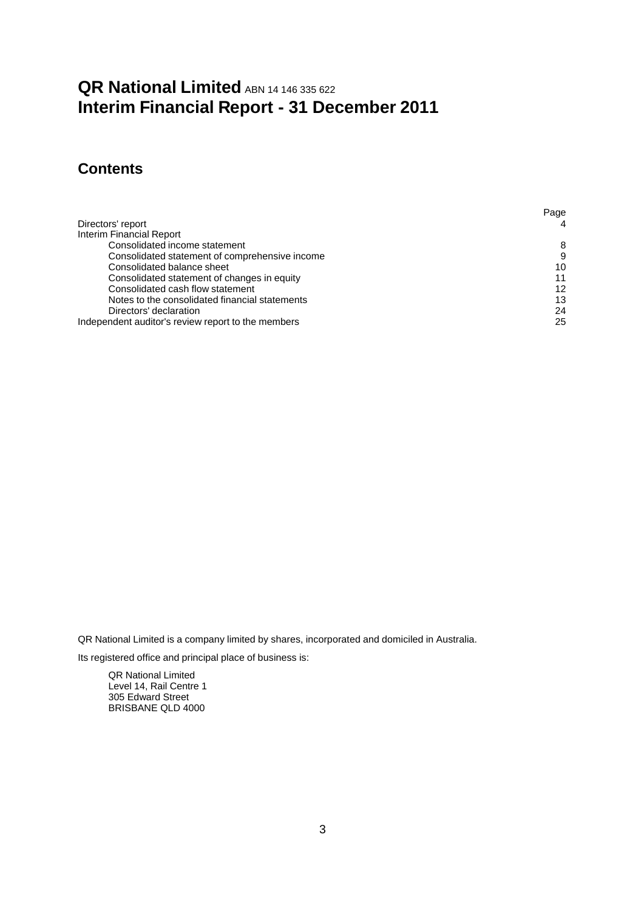## **QR National Limited ABN 14 146 335 622 Interim Financial Report - 31 December 2011**

## **Contents**

|                                                    | Page |
|----------------------------------------------------|------|
| Directors' report                                  | 4    |
| Interim Financial Report                           |      |
| Consolidated income statement                      | 8    |
| Consolidated statement of comprehensive income     | 9    |
| Consolidated balance sheet                         | 10   |
| Consolidated statement of changes in equity        | 11   |
| Consolidated cash flow statement                   | 12   |
| Notes to the consolidated financial statements     | 13   |
| Directors' declaration                             | 24   |
| Independent auditor's review report to the members | 25   |

QR National Limited is a company limited by shares, incorporated and domiciled in Australia.

Its registered office and principal place of business is:

QR National Limited Level 14, Rail Centre 1 305 Edward Street BRISBANE QLD 4000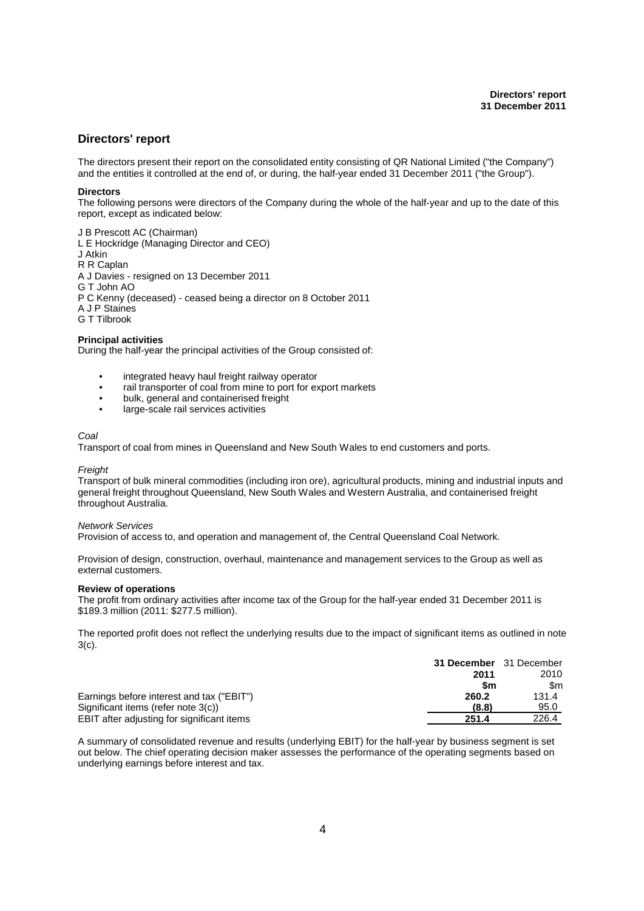### **Directors' report**

The directors present their report on the consolidated entity consisting of QR National Limited ("the Company") and the entities it controlled at the end of, or during, the half-year ended 31 December 2011 ("the Group").

#### **Directors**

The following persons were directors of the Company during the whole of the half-year and up to the date of this report, except as indicated below:

J B Prescott AC (Chairman)

L E Hockridge (Managing Director and CEO)

J Atkin

R R Caplan

A J Davies - resigned on 13 December 2011

G T John AO

P C Kenny (deceased) - ceased being a director on 8 October 2011

A J P Staines

G T Tilbrook

#### **Principal activities**

During the half-year the principal activities of the Group consisted of:

- integrated heavy haul freight railway operator
- rail transporter of coal from mine to port for export markets
- bulk, general and containerised freight
- large-scale rail services activities

#### *Coal*

Transport of coal from mines in Queensland and New South Wales to end customers and ports.

#### *Freight*

Transport of bulk mineral commodities (including iron ore), agricultural products, mining and industrial inputs and general freight throughout Queensland, New South Wales and Western Australia, and containerised freight throughout Australia.

#### *Network Services*

Provision of access to, and operation and management of, the Central Queensland Coal Network.

Provision of design, construction, overhaul, maintenance and management services to the Group as well as external customers.

#### **Review of operations**

The profit from ordinary activities after income tax of the Group for the half-year ended 31 December 2011 is \$189.3 million (2011: \$277.5 million).

The reported profit does not reflect the underlying results due to the impact of significant items as outlined in note 3(c).

|                                            | 31 December 31 December |       |
|--------------------------------------------|-------------------------|-------|
|                                            | 2011                    | 2010  |
|                                            | \$m                     | \$m   |
| Earnings before interest and tax ("EBIT")  | 260.2                   | 131.4 |
| Significant items (refer note 3(c))        | (8.8)                   | 95.0  |
| EBIT after adjusting for significant items | 251.4                   | 226.4 |

A summary of consolidated revenue and results (underlying EBIT) for the half-year by business segment is set out below. The chief operating decision maker assesses the performance of the operating segments based on underlying earnings before interest and tax.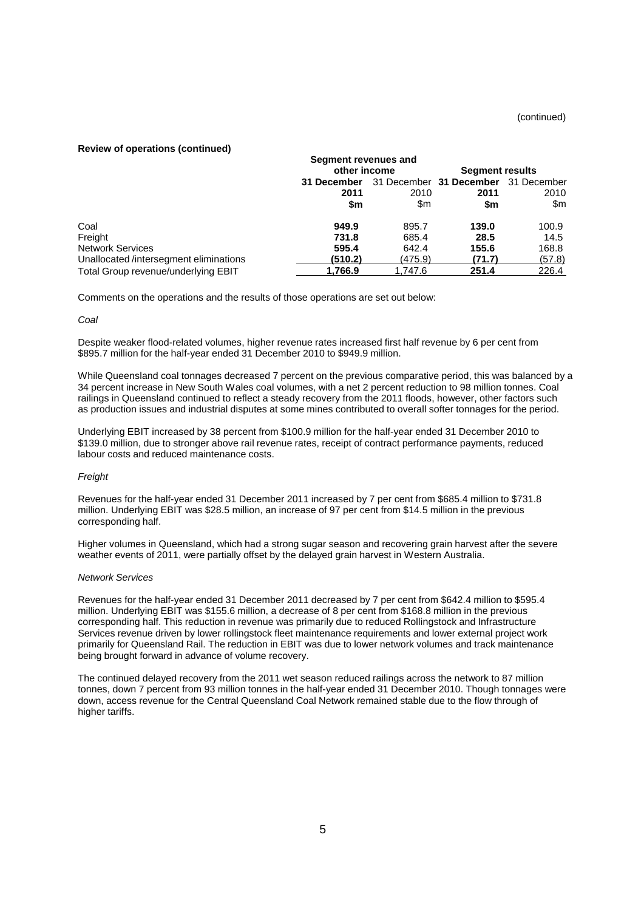#### **Review of operations (continued)**

|                                       | Segment revenues and |              |                                     |                        |  |
|---------------------------------------|----------------------|--------------|-------------------------------------|------------------------|--|
|                                       |                      | other income |                                     | <b>Segment results</b> |  |
|                                       | 31 December          |              | 31 December 31 December 31 December |                        |  |
|                                       | 2011                 | 2010         | 2011                                | 2010                   |  |
|                                       | \$m                  | \$m          | \$m                                 | \$m                    |  |
| Coal                                  | 949.9                | 895.7        | 139.0                               | 100.9                  |  |
| Freight                               | 731.8                | 685.4        | 28.5                                | 14.5                   |  |
| <b>Network Services</b>               | 595.4                | 642.4        | 155.6                               | 168.8                  |  |
| Unallocated/intersegment eliminations | (510.2)              | (475.9)      | (71.7)                              | (57.8)                 |  |
| Total Group revenue/underlying EBIT   | 1.766.9              | 1.747.6      | 251.4                               | 226.4                  |  |

Comments on the operations and the results of those operations are set out below:

#### *Coal*

Despite weaker flood-related volumes, higher revenue rates increased first half revenue by 6 per cent from \$895.7 million for the half-year ended 31 December 2010 to \$949.9 million.

While Queensland coal tonnages decreased 7 percent on the previous comparative period, this was balanced by a 34 percent increase in New South Wales coal volumes, with a net 2 percent reduction to 98 million tonnes. Coal railings in Queensland continued to reflect a steady recovery from the 2011 floods, however, other factors such as production issues and industrial disputes at some mines contributed to overall softer tonnages for the period.

Underlying EBIT increased by 38 percent from \$100.9 million for the half-year ended 31 December 2010 to \$139.0 million, due to stronger above rail revenue rates, receipt of contract performance payments, reduced labour costs and reduced maintenance costs.

#### *Freight*

Revenues for the half-year ended 31 December 2011 increased by 7 per cent from \$685.4 million to \$731.8 million. Underlying EBIT was \$28.5 million, an increase of 97 per cent from \$14.5 million in the previous corresponding half.

Higher volumes in Queensland, which had a strong sugar season and recovering grain harvest after the severe weather events of 2011, were partially offset by the delayed grain harvest in Western Australia.

#### *Network Services*

Revenues for the half-year ended 31 December 2011 decreased by 7 per cent from \$642.4 million to \$595.4 million. Underlying EBIT was \$155.6 million, a decrease of 8 per cent from \$168.8 million in the previous corresponding half. This reduction in revenue was primarily due to reduced Rollingstock and Infrastructure Services revenue driven by lower rollingstock fleet maintenance requirements and lower external project work primarily for Queensland Rail. The reduction in EBIT was due to lower network volumes and track maintenance being brought forward in advance of volume recovery.

The continued delayed recovery from the 2011 wet season reduced railings across the network to 87 million tonnes, down 7 percent from 93 million tonnes in the half-year ended 31 December 2010. Though tonnages were down, access revenue for the Central Queensland Coal Network remained stable due to the flow through of higher tariffs.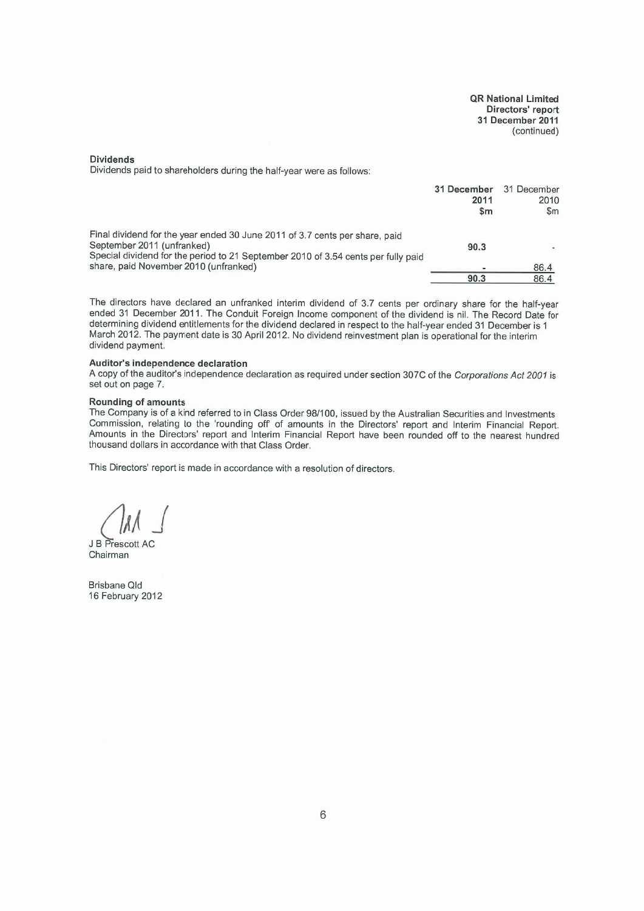**QR National Limited** Directors' report 31 December 2011 (continued)

#### **Dividends**

Dividends paid to shareholders during the half-year were as follows:

| \$m                                                                                                                                                                                                    | $\mathsf{Sm}$ |
|--------------------------------------------------------------------------------------------------------------------------------------------------------------------------------------------------------|---------------|
| Final dividend for the year ended 30 June 2011 of 3.7 cents per share, paid<br>September 2011 (unfranked)<br>90.3<br>Special dividend for the period to 21 September 2010 of 3.54 cents per fully paid |               |
| share, paid November 2010 (unfranked)                                                                                                                                                                  | 86.4          |
| 90.3                                                                                                                                                                                                   | 86.4          |

The directors have declared an unfranked interim dividend of 3.7 cents per ordinary share for the half-year ended 31 December 2011. The Conduit Foreign Income component of the dividend is nil. The Record Date for determining dividend entitlements for the dividend declared in respect to the half-year ended 31 December is 1 March 2012. The payment date is 30 April 2012. No dividend reinvestment plan is operational for the interim dividend payment.

#### Auditor's independence declaration

A copy of the auditor's independence declaration as required under section 307C of the Corporations Act 2001 is set out on page 7.

#### Rounding of amounts

The Company is of a kind referred to in Class Order 98/100, issued by the Australian Securities and Investments Commission, relating to the 'rounding off of amounts in the Directors' report and Interim Financial Report. Amounts in the Directors' report and Interim Financial Report have been rounded off to the nearest hundred thousand dollars in accordance with that Class Order.

This Directors' report is made in accordance with a resolution of directors.

J B Prescott AC Chairman

Brisbane Qld 16 February 2012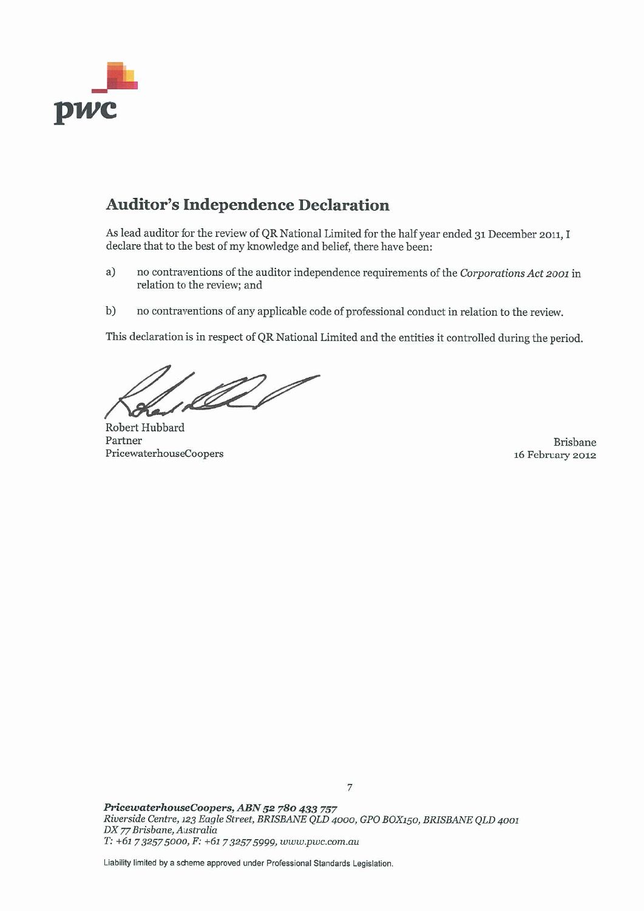

## **Auditor's Independence Declaration**

As lead auditor for the review of QR National Limited for the half year ended 31 December 2011, I declare that to the best of my knowledge and belief, there have been:

- $a)$ no contraventions of the auditor independence requirements of the Corporations Act 2001 in relation to the review; and
- no contraventions of any applicable code of professional conduct in relation to the review.  $b)$

This declaration is in respect of QR National Limited and the entities it controlled during the period.

de l

Robert Hubbard Partner PricewaterhouseCoopers

Brisbane 16 February 2012

PricewaterhouseCoopers, ABN 52 780 433 757 Riverside Centre, 123 Eagle Street, BRISBANE QLD 4000, GPO BOX150, BRISBANE QLD 4001 DX 77 Brisbane, Australia T: +61 7 3257 5000, F: +61 7 3257 5999, www.pwc.com.au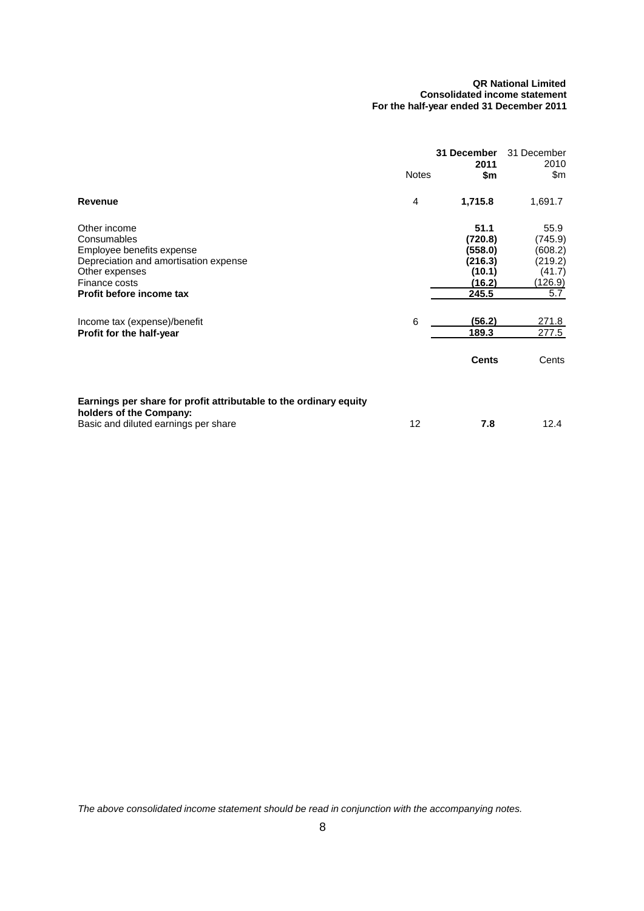#### **QR National Limited Consolidated income statement For the half-year ended 31 December 2011**

|                                                                                                                                                                  | <b>Notes</b> | 31 December<br>2011<br>\$m                                         | 31 December<br>2010<br>\$m                                        |
|------------------------------------------------------------------------------------------------------------------------------------------------------------------|--------------|--------------------------------------------------------------------|-------------------------------------------------------------------|
| Revenue                                                                                                                                                          | 4            | 1,715.8                                                            | 1,691.7                                                           |
| Other income<br>Consumables<br>Employee benefits expense<br>Depreciation and amortisation expense<br>Other expenses<br>Finance costs<br>Profit before income tax |              | 51.1<br>(720.8)<br>(558.0)<br>(216.3)<br>(10.1)<br>(16.2)<br>245.5 | 55.9<br>(745.9)<br>(608.2)<br>(219.2)<br>(41.7)<br>(126.9)<br>5.7 |
| Income tax (expense)/benefit<br>Profit for the half-year                                                                                                         | 6            | (56.2)<br>189.3<br><b>Cents</b>                                    | 271.8<br>277.5<br>Cents                                           |
| Earnings per share for profit attributable to the ordinary equity<br>holders of the Company:<br>Basic and diluted earnings per share                             | 12           | 7.8                                                                | 12.4                                                              |

*The above consolidated income statement should be read in conjunction with the accompanying notes.*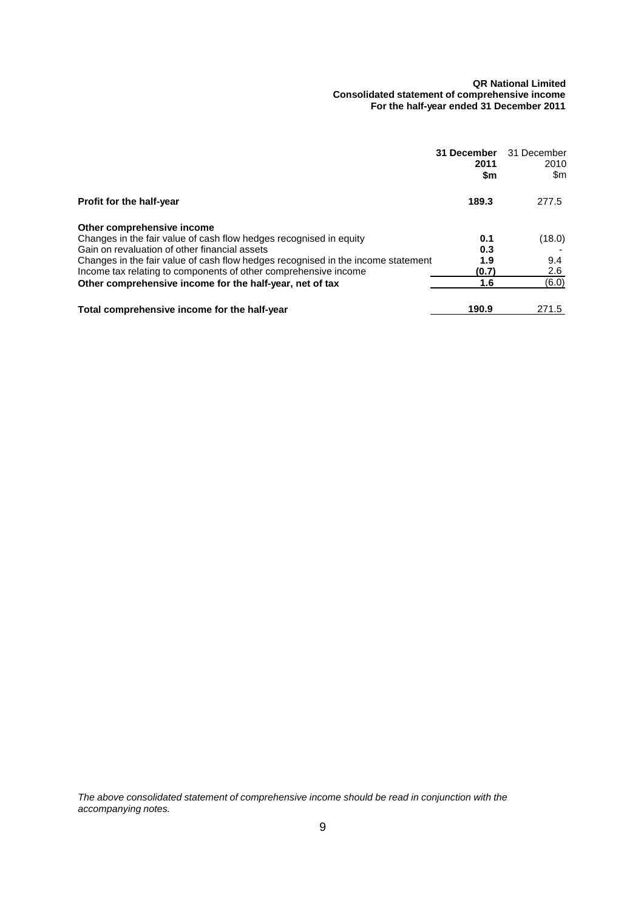#### **QR National Limited Consolidated statement of comprehensive income For the half-year ended 31 December 2011**

|                                                                                  | 31 December<br>2011<br>\$m | 31 December<br>2010<br>\$m |
|----------------------------------------------------------------------------------|----------------------------|----------------------------|
| Profit for the half-year                                                         | 189.3                      | 277.5                      |
| Other comprehensive income                                                       |                            |                            |
| Changes in the fair value of cash flow hedges recognised in equity               | 0.1                        | (18.0)                     |
| Gain on revaluation of other financial assets                                    | 0.3                        |                            |
| Changes in the fair value of cash flow hedges recognised in the income statement | 1.9                        | 9.4                        |
| Income tax relating to components of other comprehensive income                  | (0.7)                      | 2.6                        |
| Other comprehensive income for the half-year, net of tax                         | 1.6                        | (6.0)                      |
| Total comprehensive income for the half-year                                     | 190.9                      | 271.5                      |

*The above consolidated statement of comprehensive income should be read in conjunction with the accompanying notes.*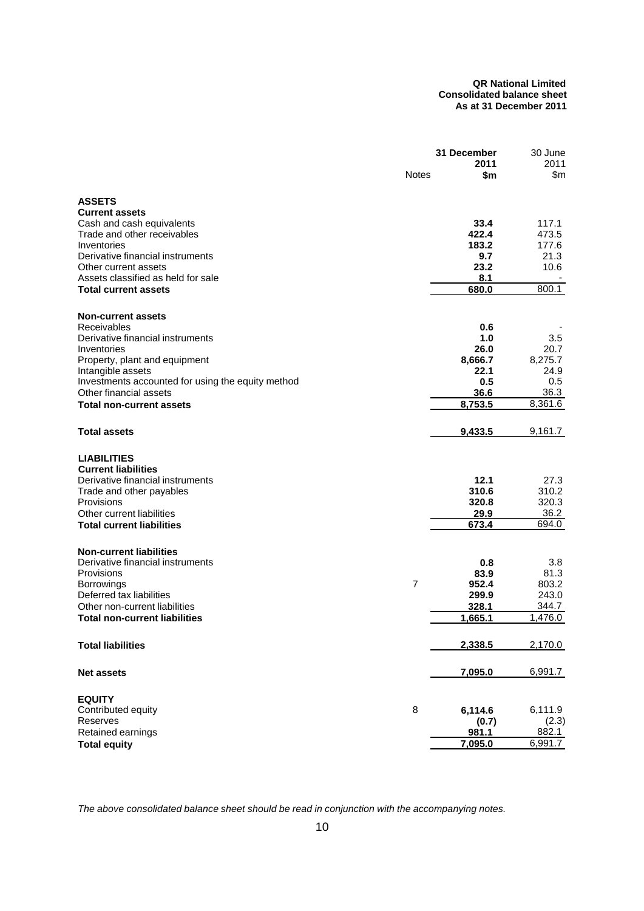#### **QR National Limited Consolidated balance sheet As at 31 December 2011**

|                                                                             |                | 31 December<br>2011 | 30 June<br>2011 |
|-----------------------------------------------------------------------------|----------------|---------------------|-----------------|
|                                                                             | <b>Notes</b>   | \$m                 | \$m             |
| <b>ASSETS</b>                                                               |                |                     |                 |
| <b>Current assets</b>                                                       |                |                     |                 |
| Cash and cash equivalents                                                   |                | 33.4                | 117.1           |
| Trade and other receivables                                                 |                | 422.4               | 473.5           |
| Inventories                                                                 |                | 183.2               | 177.6           |
| Derivative financial instruments                                            |                | 9.7                 | 21.3            |
| Other current assets                                                        |                | 23.2                | 10.6            |
| Assets classified as held for sale                                          |                | 8.1<br>680.0        | 800.1           |
| <b>Total current assets</b>                                                 |                |                     |                 |
| <b>Non-current assets</b>                                                   |                |                     |                 |
| Receivables                                                                 |                | 0.6                 |                 |
| Derivative financial instruments                                            |                | 1.0                 | 3.5             |
| Inventories                                                                 |                | 26.0                | 20.7            |
| Property, plant and equipment                                               |                | 8,666.7             | 8,275.7         |
| Intangible assets                                                           |                | 22.1                | 24.9            |
| Investments accounted for using the equity method<br>Other financial assets |                | 0.5                 | 0.5<br>36.3     |
| <b>Total non-current assets</b>                                             |                | 36.6<br>8,753.5     | 8,361.6         |
|                                                                             |                |                     |                 |
| <b>Total assets</b>                                                         |                | 9,433.5             | 9,161.7         |
| <b>LIABILITIES</b>                                                          |                |                     |                 |
| <b>Current liabilities</b>                                                  |                |                     |                 |
| Derivative financial instruments                                            |                | 12.1                | 27.3            |
| Trade and other payables                                                    |                | 310.6               | 310.2           |
| Provisions                                                                  |                | 320.8               | 320.3           |
| Other current liabilities                                                   |                | 29.9                | 36.2            |
| <b>Total current liabilities</b>                                            |                | 673.4               | 694.0           |
| <b>Non-current liabilities</b>                                              |                |                     |                 |
| Derivative financial instruments                                            |                | 0.8                 | 3.8             |
| Provisions                                                                  |                | 83.9                | 81.3            |
| Borrowings                                                                  | $\overline{7}$ | 952.4               | 803.2           |
| Deferred tax liabilities                                                    |                | 299.9               | 243.0           |
| Other non-current liabilities                                               |                | 328.1               | 344.7           |
| Total non-current liabilities                                               |                | 1,665.1             | 1,476.0         |
| <b>Total liabilities</b>                                                    |                | 2,338.5             | 2,170.0         |
| <b>Net assets</b>                                                           |                | 7,095.0             | 6,991.7         |
|                                                                             |                |                     |                 |
| <b>EQUITY</b>                                                               |                |                     |                 |
| Contributed equity<br>Reserves                                              | 8              | 6,114.6             | 6,111.9         |
| Retained earnings                                                           |                | (0.7)<br>981.1      | (2.3)<br>882.1  |
| <b>Total equity</b>                                                         |                | 7,095.0             | 6,991.7         |
|                                                                             |                |                     |                 |

*The above consolidated balance sheet should be read in conjunction with the accompanying notes.*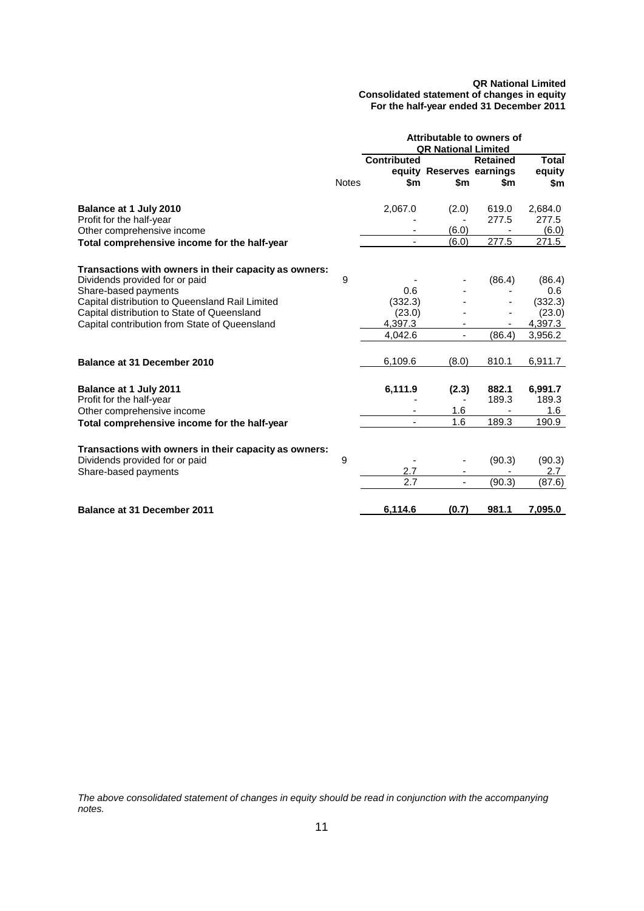#### **QR National Limited Consolidated statement of changes in equity For the half-year ended 31 December 2011**

|                                                       | Attributable to owners of<br><b>QR National Limited</b> |                           |                                 |                        |                               |  |  |
|-------------------------------------------------------|---------------------------------------------------------|---------------------------|---------------------------------|------------------------|-------------------------------|--|--|
|                                                       | <b>Notes</b>                                            | <b>Contributed</b><br>\$m | equity Reserves earnings<br>\$m | <b>Retained</b><br>\$m | <b>Total</b><br>equity<br>\$m |  |  |
|                                                       |                                                         |                           |                                 |                        |                               |  |  |
| Balance at 1 July 2010                                |                                                         | 2,067.0                   | (2.0)                           | 619.0                  | 2,684.0                       |  |  |
| Profit for the half-year                              |                                                         |                           | (6.0)                           | 277.5                  | 277.5                         |  |  |
| Other comprehensive income                            |                                                         |                           | (6.0)                           | 277.5                  | (6.0)<br>271.5                |  |  |
| Total comprehensive income for the half-year          |                                                         |                           |                                 |                        |                               |  |  |
| Transactions with owners in their capacity as owners: |                                                         |                           |                                 |                        |                               |  |  |
| Dividends provided for or paid                        | 9                                                       |                           |                                 | (86.4)                 | (86.4)                        |  |  |
| Share-based payments                                  |                                                         | 0.6                       |                                 |                        | 0.6                           |  |  |
| Capital distribution to Queensland Rail Limited       |                                                         | (332.3)                   |                                 |                        | (332.3)                       |  |  |
| Capital distribution to State of Queensland           |                                                         | (23.0)                    |                                 |                        | (23.0)                        |  |  |
| Capital contribution from State of Queensland         |                                                         | 4,397.3                   |                                 |                        | 4,397.3                       |  |  |
|                                                       |                                                         | 4,042.6                   | ÷,                              | (86.4)                 | 3,956.2                       |  |  |
| Balance at 31 December 2010                           |                                                         | 6,109.6                   | (8.0)                           | 810.1                  | 6,911.7                       |  |  |
|                                                       |                                                         |                           |                                 |                        |                               |  |  |
| Balance at 1 July 2011                                |                                                         | 6,111.9                   | (2.3)                           | 882.1                  | 6,991.7                       |  |  |
| Profit for the half-year                              |                                                         |                           | 1.6                             | 189.3                  | 189.3<br>1.6                  |  |  |
| Other comprehensive income                            |                                                         |                           | 1.6                             | 189.3                  | 190.9                         |  |  |
| Total comprehensive income for the half-year          |                                                         |                           |                                 |                        |                               |  |  |
| Transactions with owners in their capacity as owners: |                                                         |                           |                                 |                        |                               |  |  |
| Dividends provided for or paid                        | 9                                                       |                           |                                 | (90.3)                 | (90.3)                        |  |  |
| Share-based payments                                  |                                                         | 2.7                       |                                 |                        | 2.7                           |  |  |
|                                                       |                                                         | 2.7                       | $\overline{\phantom{0}}$        | (90.3)                 | (87.6)                        |  |  |
|                                                       |                                                         |                           |                                 |                        |                               |  |  |
| <b>Balance at 31 December 2011</b>                    |                                                         | 6,114.6                   | (0.7)                           | 981.1                  | 7,095.0                       |  |  |

*The above consolidated statement of changes in equity should be read in conjunction with the accompanying notes.*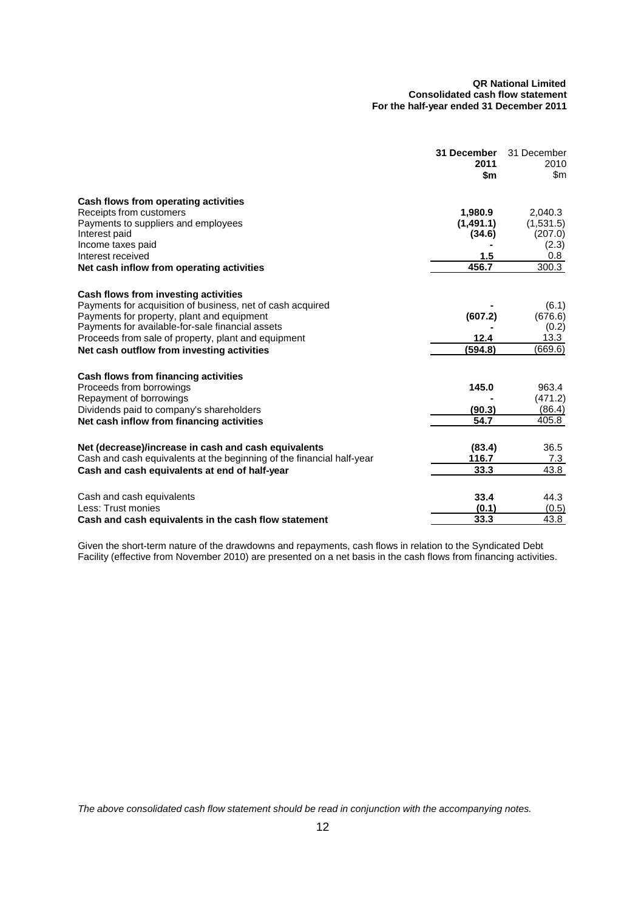#### **QR National Limited Consolidated cash flow statement For the half-year ended 31 December 2011**

|                                                                       | 31 December<br>2011<br>\$m | 31 December<br>2010<br>\$m |
|-----------------------------------------------------------------------|----------------------------|----------------------------|
| Cash flows from operating activities                                  |                            |                            |
| Receipts from customers                                               | 1,980.9                    | 2,040.3                    |
| Payments to suppliers and employees                                   | (1,491.1)                  | (1,531.5)                  |
| Interest paid                                                         | (34.6)                     | (207.0)                    |
| Income taxes paid                                                     |                            | (2.3)                      |
| Interest received                                                     | 1.5                        | $0.8\,$<br>300.3           |
| Net cash inflow from operating activities                             | 456.7                      |                            |
| Cash flows from investing activities                                  |                            |                            |
| Payments for acquisition of business, net of cash acquired            |                            | (6.1)                      |
| Payments for property, plant and equipment                            | (607.2)                    | (676.6)                    |
| Payments for available-for-sale financial assets                      |                            | (0.2)                      |
| Proceeds from sale of property, plant and equipment                   | 12.4                       | 13.3                       |
| Net cash outflow from investing activities                            | (594.8)                    | (669.6)                    |
| Cash flows from financing activities                                  |                            |                            |
| Proceeds from borrowings                                              | 145.0                      | 963.4                      |
| Repayment of borrowings                                               |                            | (471.2)                    |
| Dividends paid to company's shareholders                              | (90.3)                     | (86.4)                     |
| Net cash inflow from financing activities                             | 54.7                       | 405.8                      |
| Net (decrease)/increase in cash and cash equivalents                  | (83.4)                     | 36.5                       |
| Cash and cash equivalents at the beginning of the financial half-year | 116.7                      | 7.3                        |
| Cash and cash equivalents at end of half-year                         | 33.3                       | 43.8                       |
| Cash and cash equivalents                                             | 33.4                       | 44.3                       |
| Less: Trust monies                                                    | (0.1)                      | (0.5)                      |
| Cash and cash equivalents in the cash flow statement                  | 33.3                       | 43.8                       |

Given the short-term nature of the drawdowns and repayments, cash flows in relation to the Syndicated Debt Facility (effective from November 2010) are presented on a net basis in the cash flows from financing activities.

*The above consolidated cash flow statement should be read in conjunction with the accompanying notes.*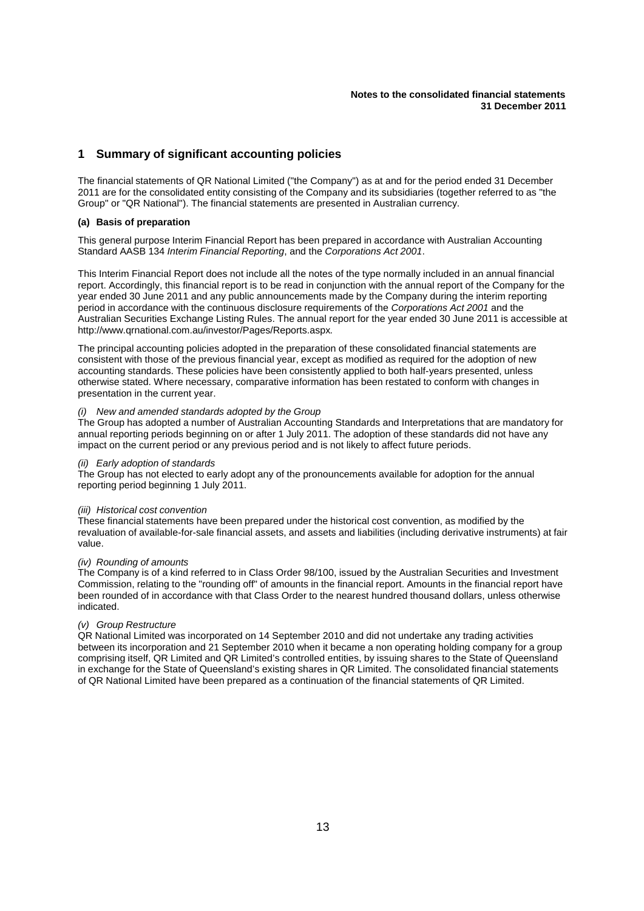## **1 Summary of significant accounting policies**

The financial statements of QR National Limited ("the Company") as at and for the period ended 31 December 2011 are for the consolidated entity consisting of the Company and its subsidiaries (together referred to as "the Group" or "QR National"). The financial statements are presented in Australian currency.

#### **(a) Basis of preparation**

This general purpose Interim Financial Report has been prepared in accordance with Australian Accounting Standard AASB 134 *Interim Financial Reporting*, and the *Corporations Act 2001*.

This Interim Financial Report does not include all the notes of the type normally included in an annual financial report. Accordingly, this financial report is to be read in conjunction with the annual report of the Company for the year ended 30 June 2011 and any public announcements made by the Company during the interim reporting period in accordance with the continuous disclosure requirements of the *Corporations Act 2001* and the Australian Securities Exchange Listing Rules. The annual report for the year ended 30 June 2011 is accessible at [http://www.qrnational.com.au/investor/Pages/Reports.aspx.](http://www.qrnational.com.au/investor/Pages/Reports.aspx)

The principal accounting policies adopted in the preparation of these consolidated financial statements are consistent with those of the previous financial year, except as modified as required for the adoption of new accounting standards. These policies have been consistently applied to both half-years presented, unless otherwise stated. Where necessary, comparative information has been restated to conform with changes in presentation in the current year.

#### *(i) New and amended standards adopted by the Group*

The Group has adopted a number of Australian Accounting Standards and Interpretations that are mandatory for annual reporting periods beginning on or after 1 July 2011. The adoption of these standards did not have any impact on the current period or any previous period and is not likely to affect future periods.

#### *(ii) Early adoption of standards*

The Group has not elected to early adopt any of the pronouncements available for adoption for the annual reporting period beginning 1 July 2011.

#### *(iii) Historical cost convention*

These financial statements have been prepared under the historical cost convention, as modified by the revaluation of available-for-sale financial assets, and assets and liabilities (including derivative instruments) at fair value.

#### *(iv) Rounding of amounts*

The Company is of a kind referred to in Class Order 98/100, issued by the Australian Securities and Investment Commission, relating to the "rounding off" of amounts in the financial report. Amounts in the financial report have been rounded of in accordance with that Class Order to the nearest hundred thousand dollars, unless otherwise indicated.

#### *(v) Group Restructure*

QR National Limited was incorporated on 14 September 2010 and did not undertake any trading activities between its incorporation and 21 September 2010 when it became a non operating holding company for a group comprising itself, QR Limited and QR Limited's controlled entities, by issuing shares to the State of Queensland in exchange for the State of Queensland's existing shares in QR Limited. The consolidated financial statements of QR National Limited have been prepared as a continuation of the financial statements of QR Limited.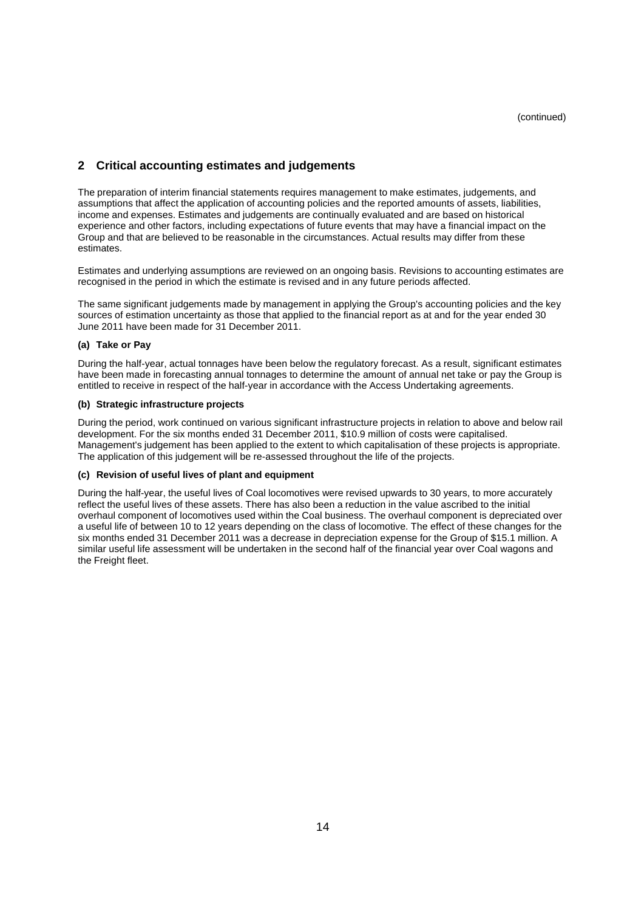## **2 Critical accounting estimates and judgements**

The preparation of interim financial statements requires management to make estimates, judgements, and assumptions that affect the application of accounting policies and the reported amounts of assets, liabilities, income and expenses. Estimates and judgements are continually evaluated and are based on historical experience and other factors, including expectations of future events that may have a financial impact on the Group and that are believed to be reasonable in the circumstances. Actual results may differ from these estimates.

Estimates and underlying assumptions are reviewed on an ongoing basis. Revisions to accounting estimates are recognised in the period in which the estimate is revised and in any future periods affected.

The same significant judgements made by management in applying the Group's accounting policies and the key sources of estimation uncertainty as those that applied to the financial report as at and for the year ended 30 June 2011 have been made for 31 December 2011.

#### **(a) Take or Pay**

During the half-year, actual tonnages have been below the regulatory forecast. As a result, significant estimates have been made in forecasting annual tonnages to determine the amount of annual net take or pay the Group is entitled to receive in respect of the half-year in accordance with the Access Undertaking agreements.

#### **(b) Strategic infrastructure projects**

During the period, work continued on various significant infrastructure projects in relation to above and below rail development. For the six months ended 31 December 2011, \$10.9 million of costs were capitalised. Management's judgement has been applied to the extent to which capitalisation of these projects is appropriate. The application of this judgement will be re-assessed throughout the life of the projects.

#### **(c) Revision of useful lives of plant and equipment**

During the half-year, the useful lives of Coal locomotives were revised upwards to 30 years, to more accurately reflect the useful lives of these assets. There has also been a reduction in the value ascribed to the initial overhaul component of locomotives used within the Coal business. The overhaul component is depreciated over a useful life of between 10 to 12 years depending on the class of locomotive. The effect of these changes for the six months ended 31 December 2011 was a decrease in depreciation expense for the Group of \$15.1 million. A similar useful life assessment will be undertaken in the second half of the financial year over Coal wagons and the Freight fleet.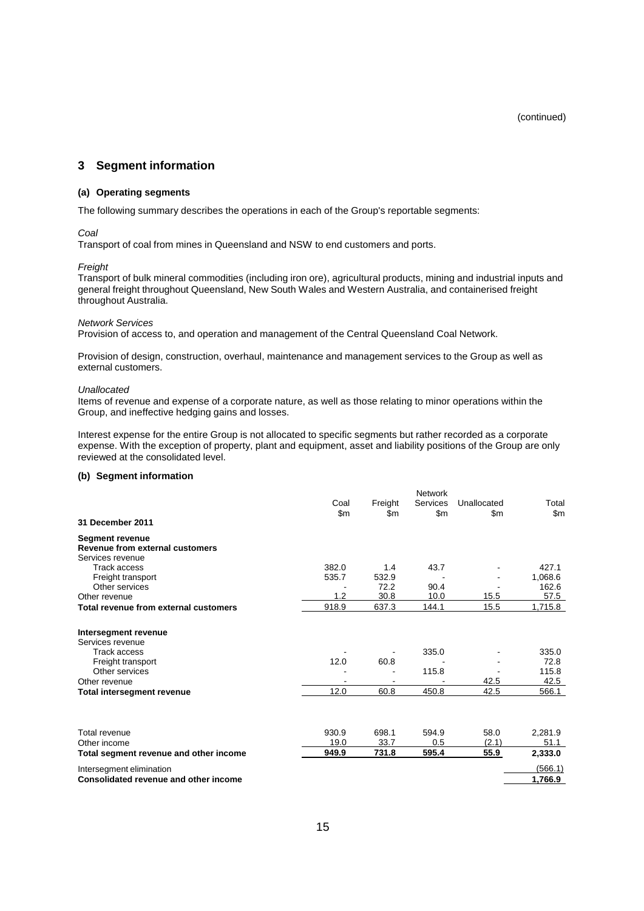(continued)

### **3 Segment information**

#### **(a) Operating segments**

The following summary describes the operations in each of the Group's reportable segments:

#### *Coal*

Transport of coal from mines in Queensland and NSW to end customers and ports.

#### *Freight*

Transport of bulk mineral commodities (including iron ore), agricultural products, mining and industrial inputs and general freight throughout Queensland, New South Wales and Western Australia, and containerised freight throughout Australia.

#### *Network Services*

Provision of access to, and operation and management of the Central Queensland Coal Network.

Provision of design, construction, overhaul, maintenance and management services to the Group as well as external customers.

#### *Unallocated*

Items of revenue and expense of a corporate nature, as well as those relating to minor operations within the Group, and ineffective hedging gains and losses.

Interest expense for the entire Group is not allocated to specific segments but rather recorded as a corporate expense. With the exception of property, plant and equipment, asset and liability positions of the Group are only reviewed at the consolidated level.

#### **(b) Segment information**

|                                        |               |                | <b>Network</b>            |                    |                |
|----------------------------------------|---------------|----------------|---------------------------|--------------------|----------------|
|                                        | Coal<br>\$m\$ | Freight<br>\$m | Services<br>$\mathsf{Sm}$ | Unallocated<br>\$m | Total<br>\$m\$ |
| 31 December 2011                       |               |                |                           |                    |                |
| <b>Segment revenue</b>                 |               |                |                           |                    |                |
| Revenue from external customers        |               |                |                           |                    |                |
| Services revenue                       |               |                |                           |                    |                |
| <b>Track access</b>                    | 382.0         | 1.4            | 43.7                      |                    | 427.1          |
| Freight transport                      | 535.7         | 532.9          |                           |                    | 1,068.6        |
| Other services                         |               | 72.2           | 90.4                      |                    | 162.6          |
| Other revenue                          | 1.2           | 30.8           | 10.0                      | 15.5               | 57.5           |
| Total revenue from external customers  | 918.9         | 637.3          | 144.1                     | 15.5               | 1,715.8        |
| Intersegment revenue                   |               |                |                           |                    |                |
| Services revenue                       |               |                |                           |                    |                |
| <b>Track access</b>                    |               |                | 335.0                     |                    | 335.0          |
| Freight transport                      | 12.0          | 60.8           |                           |                    | 72.8           |
| Other services                         |               |                | 115.8                     |                    | 115.8          |
| Other revenue                          |               |                |                           | 42.5               | 42.5           |
| <b>Total intersegment revenue</b>      | 12.0          | 60.8           | 450.8                     | 42.5               | 566.1          |
|                                        |               |                |                           |                    |                |
| Total revenue                          | 930.9         | 698.1          | 594.9                     | 58.0               | 2,281.9        |
| Other income                           | 19.0          | 33.7           | 0.5                       | (2.1)              | 51.1           |
| Total segment revenue and other income | 949.9         | 731.8          | 595.4                     | 55.9               | 2,333.0        |
| Intersegment elimination               |               |                |                           |                    | (566.1)        |
| Consolidated revenue and other income  |               |                |                           |                    | 1,766.9        |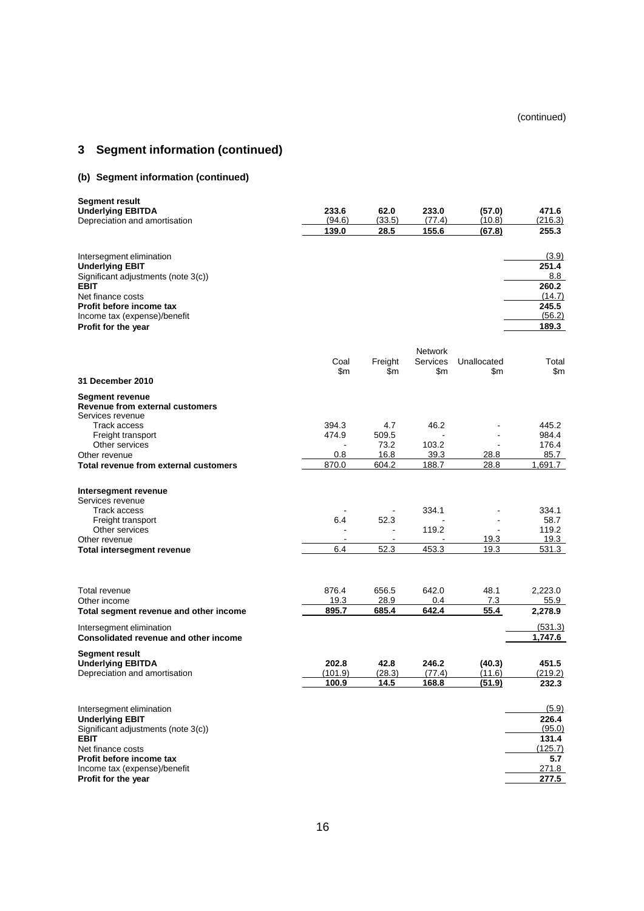## **3 Segment information (continued)**

## **(b) Segment information (continued)**

| Segment result<br><b>Underlying EBITDA</b>          | 233.6         | 62.0           | 233.0                             | (57.0)        | 471.6   |
|-----------------------------------------------------|---------------|----------------|-----------------------------------|---------------|---------|
| Depreciation and amortisation                       | (94.6)        | (33.5)         | (77.4)                            | (10.8)        | (216.3) |
|                                                     | 139.0         | 28.5           | 155.6                             | (67.8)        | 255.3   |
|                                                     |               |                |                                   |               |         |
| Intersegment elimination                            |               |                |                                   |               | (3.9)   |
| <b>Underlying EBIT</b>                              |               |                |                                   |               | 251.4   |
| Significant adjustments (note 3(c))                 |               |                |                                   |               | 8.8     |
| <b>EBIT</b>                                         |               |                |                                   |               | 260.2   |
| Net finance costs                                   |               |                |                                   |               | (14.7)  |
| Profit before income tax                            |               |                |                                   |               | 245.5   |
| Income tax (expense)/benefit                        |               |                |                                   |               | (56.2)  |
| Profit for the year                                 |               |                |                                   |               | 189.3   |
|                                                     |               |                |                                   |               |         |
|                                                     |               |                | <b>Network</b><br><b>Services</b> | Unallocated   | Total   |
|                                                     | Coal<br>\$m\$ | Freight<br>\$m | \$m                               | \$m           | \$m     |
| <b>31 December 2010</b>                             |               |                |                                   |               |         |
|                                                     |               |                |                                   |               |         |
| Segment revenue                                     |               |                |                                   |               |         |
| Revenue from external customers<br>Services revenue |               |                |                                   |               |         |
| Track access                                        | 394.3         | 4.7            | 46.2                              |               | 445.2   |
| Freight transport                                   | 474.9         | 509.5          |                                   |               | 984.4   |
| Other services                                      |               | 73.2           | 103.2                             |               | 176.4   |
| Other revenue                                       | 0.8           | 16.8           | 39.3                              | 28.8          | 85.7    |
| Total revenue from external customers               | 870.0         | 604.2          | 188.7                             | 28.8          | 1,691.7 |
|                                                     |               |                |                                   |               |         |
| Intersegment revenue                                |               |                |                                   |               |         |
| Services revenue                                    |               |                |                                   |               |         |
| Track access                                        |               |                | 334.1                             |               | 334.1   |
| Freight transport                                   | 6.4           | 52.3           |                                   |               | 58.7    |
| Other services                                      |               | $\blacksquare$ | 119.2                             |               | 119.2   |
| Other revenue                                       |               | $\blacksquare$ |                                   | 19.3          | 19.3    |
| Total intersegment revenue                          | 6.4           | 52.3           | 453.3                             | 19.3          | 531.3   |
|                                                     |               |                |                                   |               |         |
|                                                     |               |                |                                   |               |         |
| Total revenue                                       | 876.4         | 656.5          | 642.0                             | 48.1          | 2,223.0 |
| Other income                                        | 19.3          | 28.9           | 0.4                               | 7.3           | 55.9    |
| Total segment revenue and other income              | 895.7         | 685.4          | 642.4                             | 55.4          | 2,278.9 |
| Intersegment elimination                            |               |                |                                   |               | (531.3) |
| <b>Consolidated revenue and other income</b>        |               |                |                                   |               | 1,747.6 |
| Segment result                                      |               |                |                                   |               |         |
| <b>Underlying EBITDA</b>                            | 202.8         | 42.8           | 246.2                             | (40.3)        | 451.5   |
| Depreciation and amortisation                       | (101.9)       | (28.3)         | (77.4)                            | (11.6)        | (219.2) |
|                                                     | <u> 100.9</u> | <u> 14.5</u>   | <u> 168.8</u>                     | <u>(51.9)</u> | 232.3   |
|                                                     |               |                |                                   |               |         |
| Intersegment elimination                            |               |                |                                   |               | (5.9)   |
| <b>Underlying EBIT</b>                              |               |                |                                   |               | 226.4   |
| Significant adjustments (note 3(c))                 |               |                |                                   |               | (95.0)  |
| EBIT                                                |               |                |                                   |               | 131.4   |
| Net finance costs                                   |               |                |                                   |               | (125.7) |
| Profit before income tax                            |               |                |                                   |               | 5.7     |
| Income tax (expense)/benefit                        |               |                |                                   |               | 271.8   |
| Profit for the year                                 |               |                |                                   |               | 277.5   |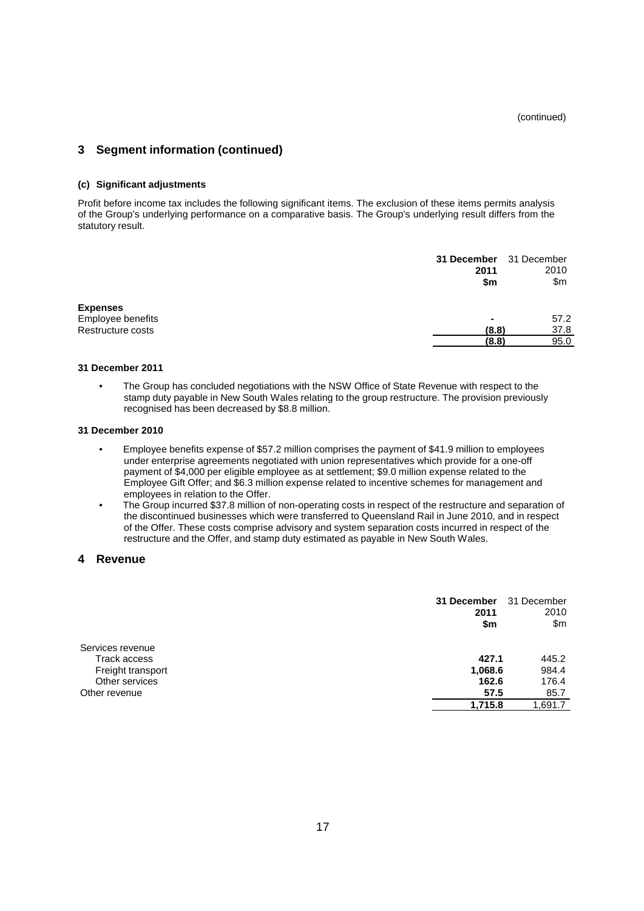## **3 Segment information (continued)**

#### **(c) Significant adjustments**

Profit before income tax includes the following significant items. The exclusion of these items permits analysis of the Group's underlying performance on a comparative basis. The Group's underlying result differs from the statutory result.

|                   | 31 December 31 December<br>2011<br>\$m | 2010<br>\$m |
|-------------------|----------------------------------------|-------------|
| <b>Expenses</b>   |                                        |             |
| Employee benefits | ۰                                      | 57.2        |
| Restructure costs | (8.8)                                  | 37.8        |
|                   | (8.8)                                  | 95.0        |

#### **31 December 2011**

• The Group has concluded negotiations with the NSW Office of State Revenue with respect to the stamp duty payable in New South Wales relating to the group restructure. The provision previously recognised has been decreased by \$8.8 million.

#### **31 December 2010**

- Employee benefits expense of \$57.2 million comprises the payment of \$41.9 million to employees under enterprise agreements negotiated with union representatives which provide for a one-off payment of \$4,000 per eligible employee as at settlement; \$9.0 million expense related to the Employee Gift Offer; and \$6.3 million expense related to incentive schemes for management and employees in relation to the Offer.
- The Group incurred \$37.8 million of non-operating costs in respect of the restructure and separation of the discontinued businesses which were transferred to Queensland Rail in June 2010, and in respect of the Offer. These costs comprise advisory and system separation costs incurred in respect of the restructure and the Offer, and stamp duty estimated as payable in New South Wales.

#### **4 Revenue**

|                   | 31 December<br>2011<br>\$m | 31 December<br>2010<br>\$m |
|-------------------|----------------------------|----------------------------|
| Services revenue  |                            |                            |
| Track access      | 427.1                      | 445.2                      |
| Freight transport | 1,068.6                    | 984.4                      |
| Other services    | 162.6                      | 176.4                      |
| Other revenue     | 57.5                       | 85.7                       |
|                   | 1,715.8                    | 1,691.7                    |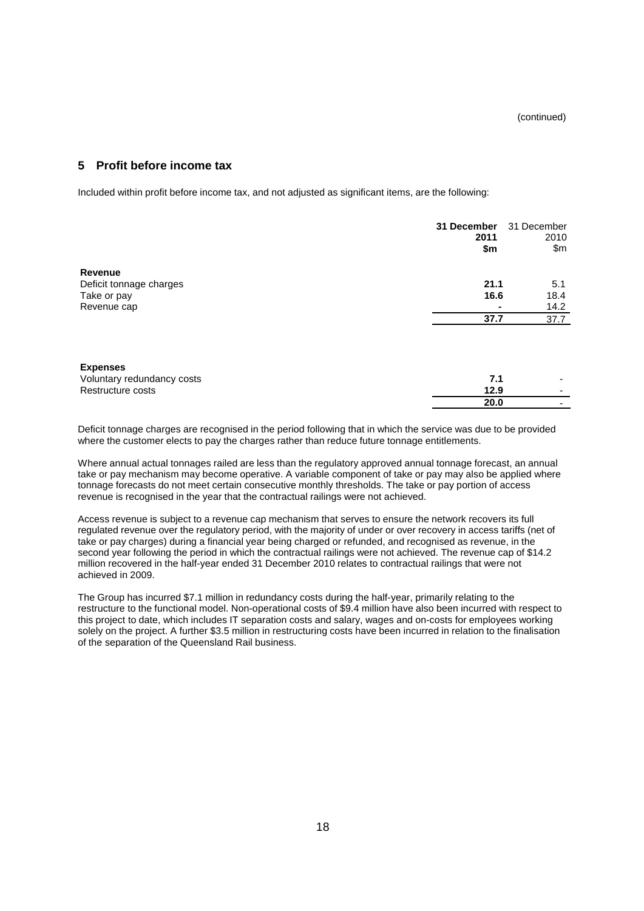### **5 Profit before income tax**

Included within profit before income tax, and not adjusted as significant items, are the following:

|                            | 31 December<br>2011<br>\$m | 31 December<br>2010<br>\$m\$ |
|----------------------------|----------------------------|------------------------------|
| Revenue                    |                            |                              |
| Deficit tonnage charges    | 21.1                       | 5.1                          |
| Take or pay                | 16.6                       | 18.4                         |
| Revenue cap                |                            | 14.2                         |
|                            | 37.7                       | 37.7                         |
|                            |                            |                              |
| <b>Expenses</b>            |                            |                              |
| Voluntary redundancy costs | 7.1                        |                              |
| Restructure costs          | 12.9                       |                              |
|                            | 20.0                       |                              |

Deficit tonnage charges are recognised in the period following that in which the service was due to be provided where the customer elects to pay the charges rather than reduce future tonnage entitlements.

Where annual actual tonnages railed are less than the regulatory approved annual tonnage forecast, an annual take or pay mechanism may become operative. A variable component of take or pay may also be applied where tonnage forecasts do not meet certain consecutive monthly thresholds. The take or pay portion of access revenue is recognised in the year that the contractual railings were not achieved.

Access revenue is subject to a revenue cap mechanism that serves to ensure the network recovers its full regulated revenue over the regulatory period, with the majority of under or over recovery in access tariffs (net of take or pay charges) during a financial year being charged or refunded, and recognised as revenue, in the second year following the period in which the contractual railings were not achieved. The revenue cap of \$14.2 million recovered in the half-year ended 31 December 2010 relates to contractual railings that were not achieved in 2009.

The Group has incurred \$7.1 million in redundancy costs during the half-year, primarily relating to the restructure to the functional model. Non-operational costs of \$9.4 million have also been incurred with respect to this project to date, which includes IT separation costs and salary, wages and on-costs for employees working solely on the project. A further \$3.5 million in restructuring costs have been incurred in relation to the finalisation of the separation of the Queensland Rail business.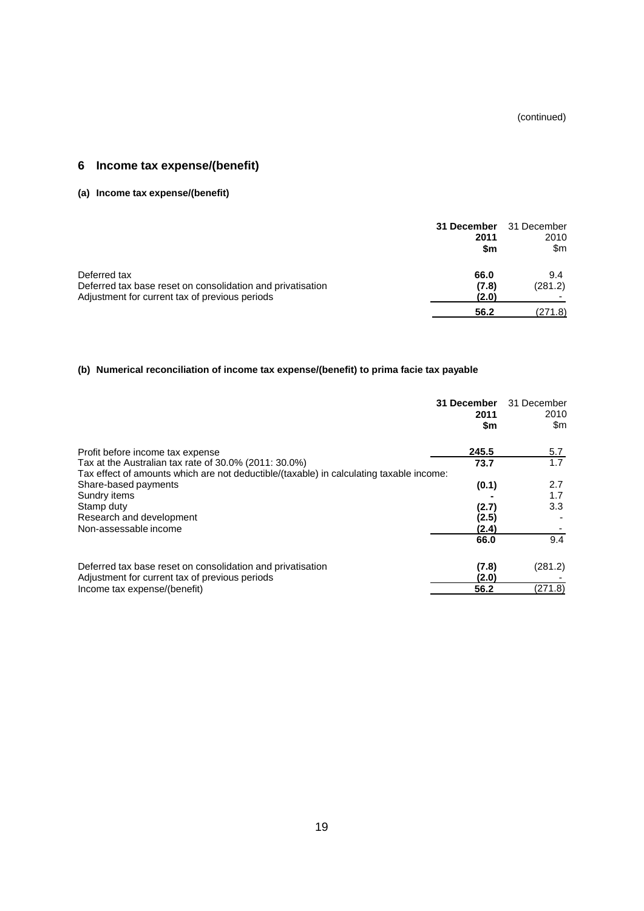(continued)

## **6 Income tax expense/(benefit)**

## **(a) Income tax expense/(benefit)**

|                                                                                                              | 31 December<br>2011<br>\$m | 31 December<br>2010<br>\$m |
|--------------------------------------------------------------------------------------------------------------|----------------------------|----------------------------|
| Deferred tax                                                                                                 | 66.0                       | 9.4                        |
| Deferred tax base reset on consolidation and privatisation<br>Adjustment for current tax of previous periods | (7.8)<br>(2.0)             | (281.2)                    |
|                                                                                                              | 56.2                       | (271.8)                    |

## **(b) Numerical reconciliation of income tax expense/(benefit) to prima facie tax payable**

|                                                                                         | 31 December<br>2011<br>\$m | 31 December<br>2010<br>\$m |
|-----------------------------------------------------------------------------------------|----------------------------|----------------------------|
| Profit before income tax expense                                                        | 245.5                      | 5.7                        |
| Tax at the Australian tax rate of 30.0% (2011: 30.0%)                                   | 73.7                       | 1.7                        |
| Tax effect of amounts which are not deductible/(taxable) in calculating taxable income: |                            |                            |
| Share-based payments                                                                    | (0.1)                      | 2.7                        |
| Sundry items                                                                            |                            | 1.7                        |
| Stamp duty                                                                              | (2.7)                      | 3.3                        |
| Research and development                                                                | (2.5)                      |                            |
| Non-assessable income                                                                   | (2.4)                      |                            |
|                                                                                         | 66.0                       | 9.4                        |
| Deferred tax base reset on consolidation and privatisation                              | (7.8)                      | (281.2)                    |
| Adjustment for current tax of previous periods                                          | (2.0)                      |                            |
| Income tax expense/(benefit)                                                            | 56.2                       | (271.8)                    |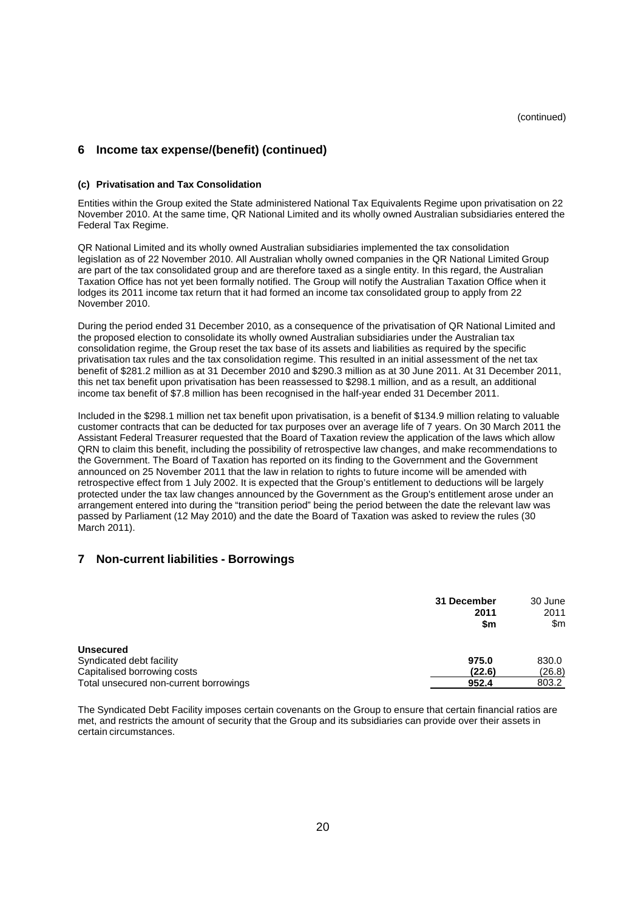(continued)

## **6 Income tax expense/(benefit) (continued)**

#### **(c) Privatisation and Tax Consolidation**

Entities within the Group exited the State administered National Tax Equivalents Regime upon privatisation on 22 November 2010. At the same time, QR National Limited and its wholly owned Australian subsidiaries entered the Federal Tax Regime.

QR National Limited and its wholly owned Australian subsidiaries implemented the tax consolidation legislation as of 22 November 2010. All Australian wholly owned companies in the QR National Limited Group are part of the tax consolidated group and are therefore taxed as a single entity. In this regard, the Australian Taxation Office has not yet been formally notified. The Group will notify the Australian Taxation Office when it lodges its 2011 income tax return that it had formed an income tax consolidated group to apply from 22 November 2010.

During the period ended 31 December 2010, as a consequence of the privatisation of QR National Limited and the proposed election to consolidate its wholly owned Australian subsidiaries under the Australian tax consolidation regime, the Group reset the tax base of its assets and liabilities as required by the specific privatisation tax rules and the tax consolidation regime. This resulted in an initial assessment of the net tax benefit of \$281.2 million as at 31 December 2010 and \$290.3 million as at 30 June 2011. At 31 December 2011, this net tax benefit upon privatisation has been reassessed to \$298.1 million, and as a result, an additional income tax benefit of \$7.8 million has been recognised in the half-year ended 31 December 2011.

Included in the \$298.1 million net tax benefit upon privatisation, is a benefit of \$134.9 million relating to valuable customer contracts that can be deducted for tax purposes over an average life of 7 years. On 30 March 2011 the Assistant Federal Treasurer requested that the Board of Taxation review the application of the laws which allow QRN to claim this benefit, including the possibility of retrospective law changes, and make recommendations to the Government. The Board of Taxation has reported on its finding to the Government and the Government announced on 25 November 2011 that the law in relation to rights to future income will be amended with retrospective effect from 1 July 2002. It is expected that the Group's entitlement to deductions will be largely protected under the tax law changes announced by the Government as the Group's entitlement arose under an arrangement entered into during the "transition period" being the period between the date the relevant law was passed by Parliament (12 May 2010) and the date the Board of Taxation was asked to review the rules (30 March 2011).

### **7 Non-current liabilities - Borrowings**

|                                        | 31 December<br>2011<br>\$m | 30 June<br>2011<br>\$m |
|----------------------------------------|----------------------------|------------------------|
| <b>Unsecured</b>                       |                            |                        |
| Syndicated debt facility               | 975.0                      | 830.0                  |
| Capitalised borrowing costs            | (22.6)                     | (26.8)                 |
| Total unsecured non-current borrowings | 952.4                      | 803.2                  |

The Syndicated Debt Facility imposes certain covenants on the Group to ensure that certain financial ratios are met, and restricts the amount of security that the Group and its subsidiaries can provide over their assets in certain circumstances.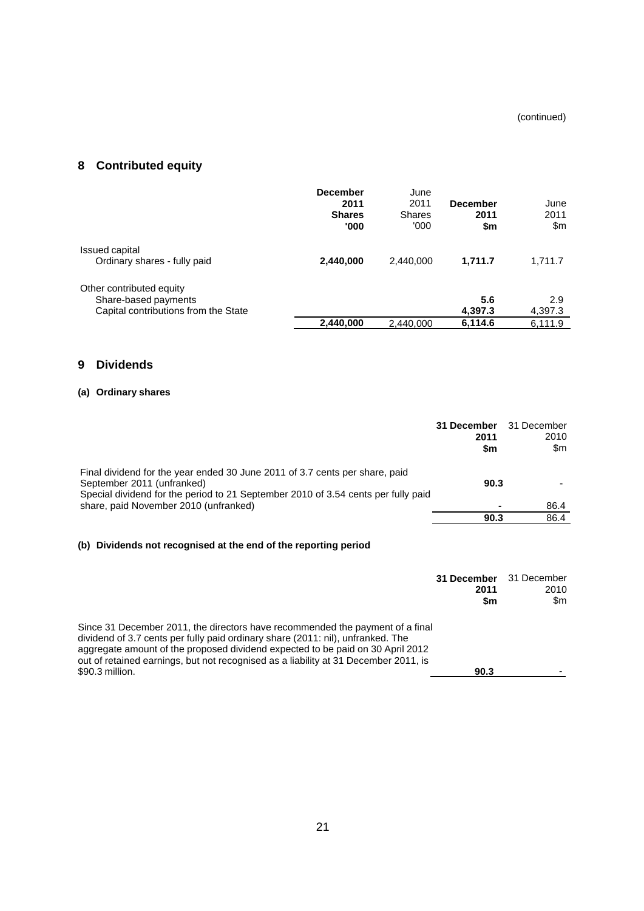## **8 Contributed equity**

|                                                                                          | <b>December</b><br>2011<br><b>Shares</b><br>'000 | June<br>2011<br><b>Shares</b><br>'000' | <b>December</b><br>2011<br>\$m | June<br>2011<br>\$m |
|------------------------------------------------------------------------------------------|--------------------------------------------------|----------------------------------------|--------------------------------|---------------------|
| Issued capital<br>Ordinary shares - fully paid                                           | 2,440,000                                        | 2.440.000                              | 1,711.7                        | 1,711.7             |
| Other contributed equity<br>Share-based payments<br>Capital contributions from the State |                                                  |                                        | 5.6<br>4,397.3                 | 2.9<br>4,397.3      |
|                                                                                          | 2,440,000                                        | 2,440,000                              | 6,114.6                        | 6,111.9             |

## **9 Dividends**

## **(a) Ordinary shares**

|                                                                                                                                                                                                | 31 December<br>2011<br>\$m | 31 December<br>2010<br>\$m |
|------------------------------------------------------------------------------------------------------------------------------------------------------------------------------------------------|----------------------------|----------------------------|
| Final dividend for the year ended 30 June 2011 of 3.7 cents per share, paid<br>September 2011 (unfranked)<br>Special dividend for the period to 21 September 2010 of 3.54 cents per fully paid | 90.3                       |                            |
| share, paid November 2010 (unfranked)                                                                                                                                                          |                            | 86.4                       |
|                                                                                                                                                                                                | 90.3                       | 86.4                       |

## **(b) Dividends not recognised at the end of the reporting period**

|                                                                                                                                                                                                                                                                                                                                                              | 31 December<br>2011<br>\$m | 31 December<br>2010<br>\$m |
|--------------------------------------------------------------------------------------------------------------------------------------------------------------------------------------------------------------------------------------------------------------------------------------------------------------------------------------------------------------|----------------------------|----------------------------|
| Since 31 December 2011, the directors have recommended the payment of a final<br>dividend of 3.7 cents per fully paid ordinary share (2011: nil), unfranked. The<br>aggregate amount of the proposed dividend expected to be paid on 30 April 2012<br>out of retained earnings, but not recognised as a liability at 31 December 2011, is<br>\$90.3 million. | 90.3                       |                            |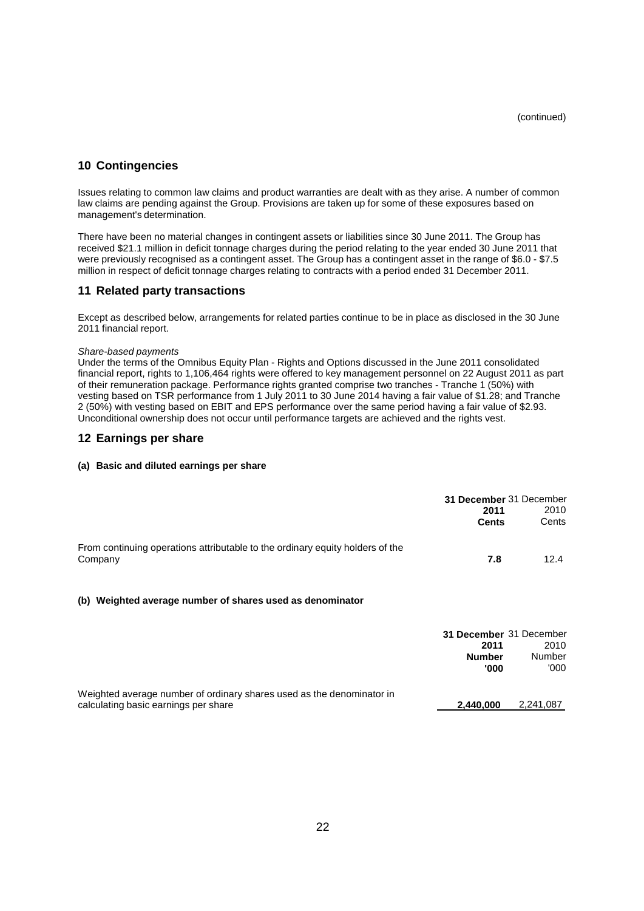### **10 Contingencies**

Issues relating to common law claims and product warranties are dealt with as they arise. A number of common law claims are pending against the Group. Provisions are taken up for some of these exposures based on management's determination.

There have been no material changes in contingent assets or liabilities since 30 June 2011. The Group has received \$21.1 million in deficit tonnage charges during the period relating to the year ended 30 June 2011 that were previously recognised as a contingent asset. The Group has a contingent asset in the range of \$6.0 - \$7.5 million in respect of deficit tonnage charges relating to contracts with a period ended 31 December 2011.

### **11 Related party transactions**

Except as described below, arrangements for related parties continue to be in place as disclosed in the 30 June 2011 financial report.

#### *Share-based payments*

Under the terms of the Omnibus Equity Plan - Rights and Options discussed in the June 2011 consolidated financial report, rights to 1,106,464 rights were offered to key management personnel on 22 August 2011 as part of their remuneration package. Performance rights granted comprise two tranches - Tranche 1 (50%) with vesting based on TSR performance from 1 July 2011 to 30 June 2014 having a fair value of \$1.28; and Tranche 2 (50%) with vesting based on EBIT and EPS performance over the same period having a fair value of \$2.93. Unconditional ownership does not occur until performance targets are achieved and the rights vest.

#### **12 Earnings per share**

#### **(a) Basic and diluted earnings per share**

|                                                                                                               | 31 December 31 December<br>2011<br><b>Cents</b>          | 2010<br>Cents                  |
|---------------------------------------------------------------------------------------------------------------|----------------------------------------------------------|--------------------------------|
| From continuing operations attributable to the ordinary equity holders of the<br>Company                      | 7.8                                                      | 12.4                           |
| (b) Weighted average number of shares used as denominator                                                     |                                                          |                                |
|                                                                                                               | 31 December 31 December<br>2011<br><b>Number</b><br>'000 | 2010<br><b>Number</b><br>'000' |
| Weighted average number of ordinary shares used as the denominator in<br>calculating basic earnings per share | 2,440,000                                                | 2,241,087                      |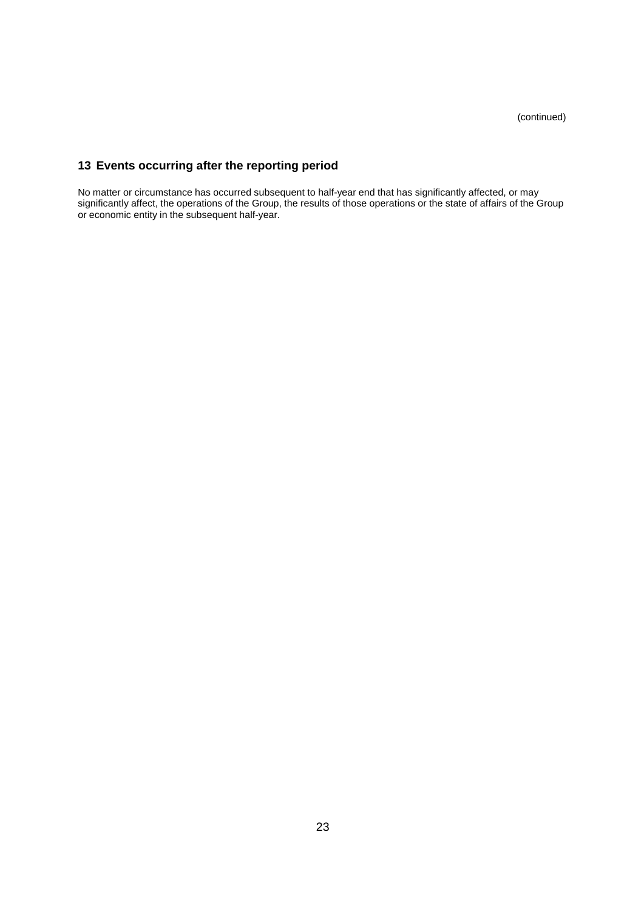## **13 Events occurring after the reporting period**

No matter or circumstance has occurred subsequent to half-year end that has significantly affected, or may significantly affect, the operations of the Group, the results of those operations or the state of affairs of the Group or economic entity in the subsequent half-year.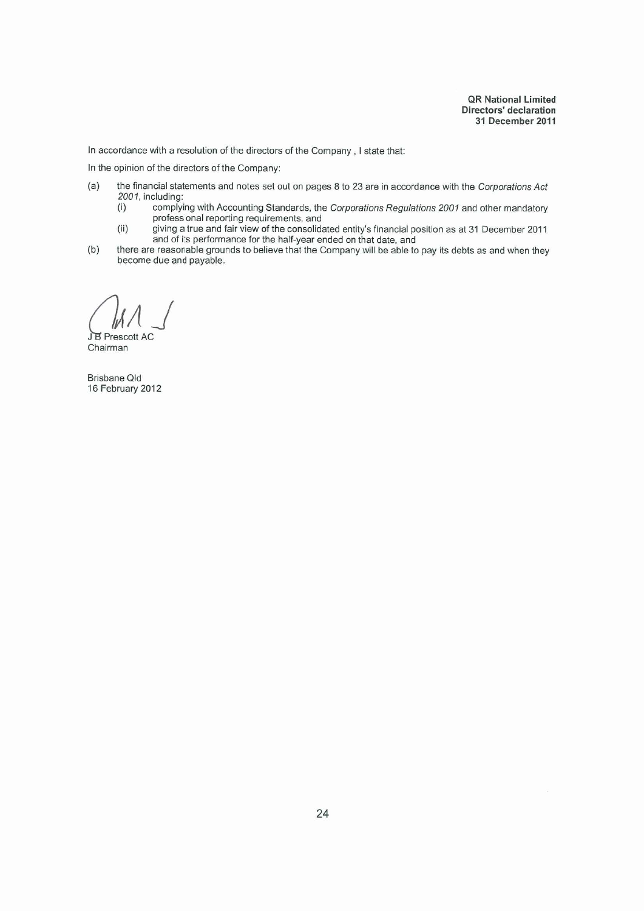In accordance with a resolution of the directors of the Company, I state that:

In the opinion of the directors of the Company:

- $(a)$ the financial statements and notes set out on pages 8 to 23 are in accordance with the Corporations Act 2001, including:
	- complying with Accounting Standards, the Corporations Regulations 2001 and other mandatory<br>professional reporting requirements, and  $(i)$
	- $(ii)$ giving a true and fair view of the consolidated entity's financial position as at 31 December 2011 and of its performance for the half-year ended on that date, and
- $(b)$ there are reasonable grounds to believe that the Company will be able to pay its debts as and when they become due and payable.

JB Prescott AC

Chairman

**Brisbane Qld** 16 February 2012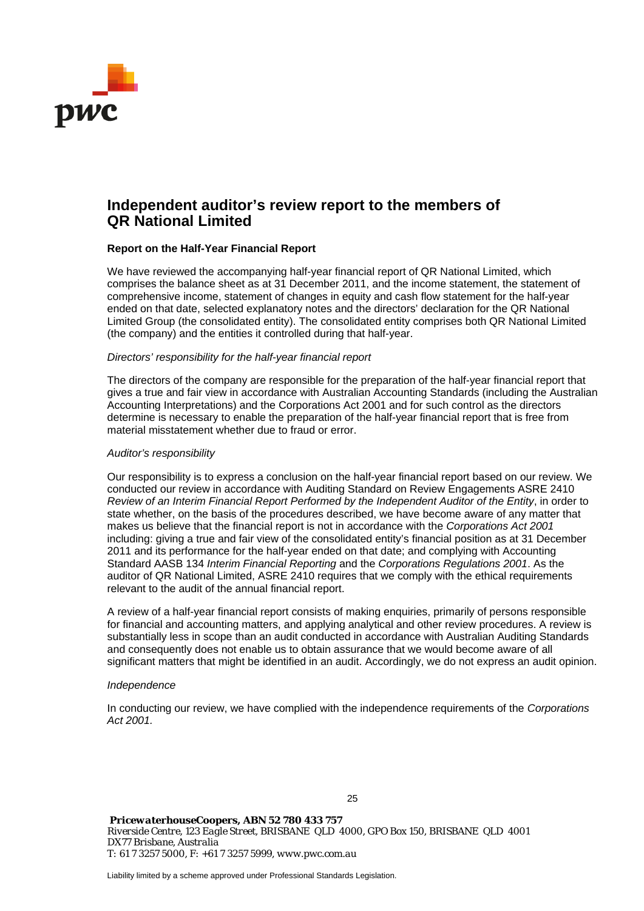

## **Independent auditor's review report to the members of QR National Limited**

#### **Report on the Half-Year Financial Report**

We have reviewed the accompanying half-year financial report of QR National Limited, which comprises the balance sheet as at 31 December 2011, and the income statement, the statement of comprehensive income, statement of changes in equity and cash flow statement for the half-year ended on that date, selected explanatory notes and the directors' declaration for the QR National Limited Group (the consolidated entity). The consolidated entity comprises both QR National Limited (the company) and the entities it controlled during that half-year.

#### *Directors' responsibility for the half-year financial report*

The directors of the company are responsible for the preparation of the half-year financial report that gives a true and fair view in accordance with Australian Accounting Standards (including the Australian Accounting Interpretations) and the Corporations Act 2001 and for such control as the directors determine is necessary to enable the preparation of the half-year financial report that is free from material misstatement whether due to fraud or error.

#### *Auditor's responsibility*

Our responsibility is to express a conclusion on the half-year financial report based on our review. We conducted our review in accordance with Auditing Standard on Review Engagements ASRE 2410 *Review of an Interim Financial Report Performed by the Independent Auditor of the Entity*, in order to state whether, on the basis of the procedures described, we have become aware of any matter that makes us believe that the financial report is not in accordance with the *Corporations Act 2001*  including: giving a true and fair view of the consolidated entity's financial position as at 31 December 2011 and its performance for the half-year ended on that date; and complying with Accounting Standard AASB 134 *Interim Financial Reporting* and the *Corporations Regulations 2001*. As the auditor of QR National Limited, ASRE 2410 requires that we comply with the ethical requirements relevant to the audit of the annual financial report.

A review of a half-year financial report consists of making enquiries, primarily of persons responsible for financial and accounting matters, and applying analytical and other review procedures. A review is substantially less in scope than an audit conducted in accordance with Australian Auditing Standards and consequently does not enable us to obtain assurance that we would become aware of all significant matters that might be identified in an audit. Accordingly, we do not express an audit opinion.

#### *Independence*

In conducting our review, we have complied with the independence requirements of the *Corporations Act 2001.*

25

 *PricewaterhouseCoopers, ABN 52 780 433 757 Riverside Centre, 123 Eagle Street, BRISBANE QLD 4000, GPO Box 150, BRISBANE QLD 4001 DX77 Brisbane, Australia T: 61 7 3257 5000, F: +61 7 3257 5999, www.pwc.com.au* 

Liability limited by a scheme approved under Professional Standards Legislation.